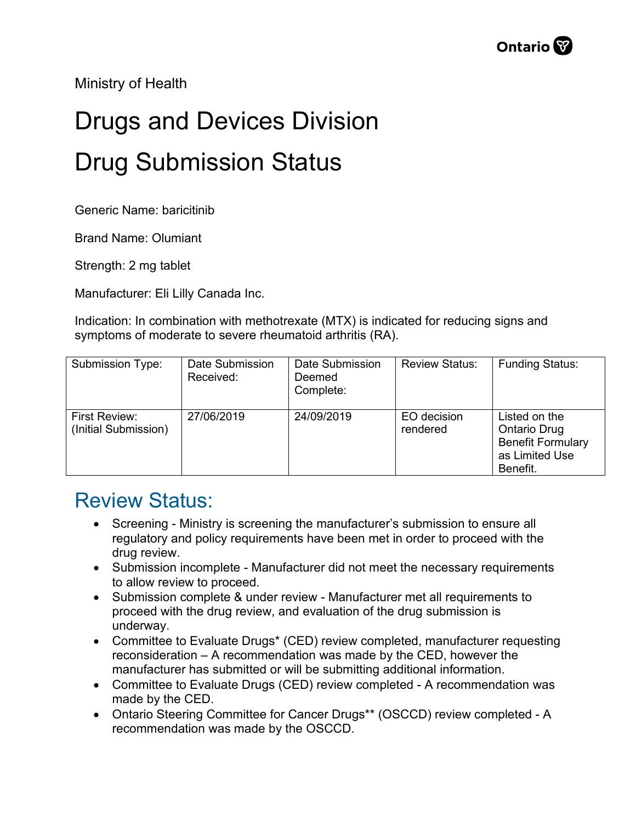Ministry of Health

## Drugs and Devices Division Drug Submission Status

Generic Name: baricitinib

Brand Name: Olumiant

Strength: 2 mg tablet

Manufacturer: Eli Lilly Canada Inc.

Indication: In combination with methotrexate (MTX) is indicated for reducing signs and symptoms of moderate to severe rheumatoid arthritis (RA).

| Submission Type:                      | Date Submission<br>Received: | Date Submission<br>Deemed<br>Complete: | <b>Review Status:</b>   | <b>Funding Status:</b>                                                                         |
|---------------------------------------|------------------------------|----------------------------------------|-------------------------|------------------------------------------------------------------------------------------------|
| First Review:<br>(Initial Submission) | 27/06/2019                   | 24/09/2019                             | EO decision<br>rendered | Listed on the<br><b>Ontario Drug</b><br><b>Benefit Formulary</b><br>as Limited Use<br>Benefit. |

## Review Status:

- Screening Ministry is screening the manufacturer's submission to ensure all regulatory and policy requirements have been met in order to proceed with the drug review.
- Submission incomplete Manufacturer did not meet the necessary requirements to allow review to proceed.
- Submission complete & under review Manufacturer met all requirements to proceed with the drug review, and evaluation of the drug submission is underway.
- Committee to Evaluate Drugs\* (CED) review completed, manufacturer requesting reconsideration – A recommendation was made by the CED, however the manufacturer has submitted or will be submitting additional information.
- Committee to Evaluate Drugs (CED) review completed A recommendation was made by the CED.
- Ontario Steering Committee for Cancer Drugs\*\* (OSCCD) review completed A recommendation was made by the OSCCD.